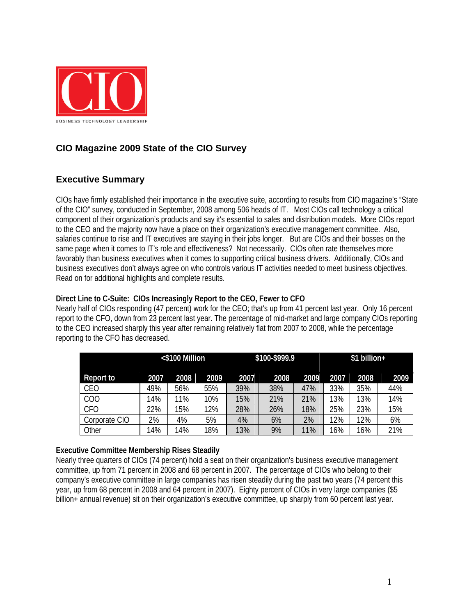

## **CIO Magazine 2009 State of the CIO Survey**

## **Executive Summary**

CIOs have firmly established their importance in the executive suite, according to results from CIO magazine's "State of the CIO" survey, conducted in September, 2008 among 506 heads of IT. Most CIOs call technology a critical component of their organization's products and say it's essential to sales and distribution models. More CIOs report to the CEO and the majority now have a place on their organization's executive management committee. Also, salaries continue to rise and IT executives are staying in their jobs longer. But are CIOs and their bosses on the same page when it comes to IT's role and effectiveness? Not necessarily. CIOs often rate themselves more favorably than business executives when it comes to supporting critical business drivers. Additionally, CIOs and business executives don't always agree on who controls various IT activities needed to meet business objectives. Read on for additional highlights and complete results.

#### **Direct Line to C-Suite: CIOs Increasingly Report to the CEO, Fewer to CFO**

Nearly half of CIOs responding (47 percent) work for the CEO; that's up from 41 percent last year. Only 16 percent report to the CFO, down from 23 percent last year. The percentage of mid-market and large company CIOs reporting to the CEO increased sharply this year after remaining relatively flat from 2007 to 2008, while the percentage reporting to the CFO has decreased.

| <\$100 Million |      | \$100-\$999.9 |      |      | \$1 billion+ |      |      |      |      |
|----------------|------|---------------|------|------|--------------|------|------|------|------|
| Report to      | 2007 | 2008          | 2009 | 2007 | 2008         | 2009 | 2007 | 2008 | 2009 |
| CEO            | 49%  | 56%           | 55%  | 39%  | 38%          | 47%  | 33%  | 35%  | 44%  |
| COO            | 14%  | 11%           | 10%  | 15%  | 21%          | 21%  | 13%  | 13%  | 14%  |
| <b>CFO</b>     | 22%  | 15%           | 12%  | 28%  | 26%          | 18%  | 25%  | 23%  | 15%  |
| Corporate CIO  | 2%   | 4%            | 5%   | 4%   | 6%           | 2%   | 12%  | 12%  | 6%   |
| Other          | 14%  | 14%           | 18%  | 13%  | 9%           | 1%   | 16%  | 16%  | 21%  |

#### **Executive Committee Membership Rises Steadily**

Nearly three quarters of CIOs (74 percent) hold a seat on their organization's business executive management committee, up from 71 percent in 2008 and 68 percent in 2007. The percentage of CIOs who belong to their company's executive committee in large companies has risen steadily during the past two years (74 percent this year, up from 68 percent in 2008 and 64 percent in 2007). Eighty percent of CIOs in very large companies (\$5 billion+ annual revenue) sit on their organization's executive committee, up sharply from 60 percent last year.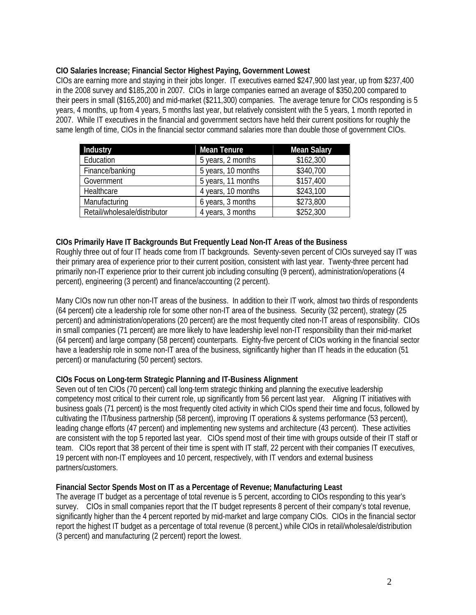#### **CIO Salaries Increase; Financial Sector Highest Paying, Government Lowest**

CIOs are earning more and staying in their jobs longer. IT executives earned \$247,900 last year, up from \$237,400 in the 2008 survey and \$185,200 in 2007. CIOs in large companies earned an average of \$350,200 compared to their peers in small (\$165,200) and mid-market (\$211,300) companies. The average tenure for CIOs responding is 5 years, 4 months, up from 4 years, 5 months last year, but relatively consistent with the 5 years, 1 month reported in 2007. While IT executives in the financial and government sectors have held their current positions for roughly the same length of time, CIOs in the financial sector command salaries more than double those of government CIOs.

| Industry                     | <b>Mean Tenure</b> | <b>Mean Salary</b> |
|------------------------------|--------------------|--------------------|
| Education                    | 5 years, 2 months  | \$162,300          |
| Finance/banking              | 5 years, 10 months | \$340,700          |
| Government                   | 5 years, 11 months | \$157,400          |
| Healthcare                   | 4 years, 10 months | \$243,100          |
| Manufacturing                | 6 years, 3 months  | \$273,800          |
| Retail/wholesale/distributor | 4 years, 3 months  | \$252,300          |

#### **CIOs Primarily Have IT Backgrounds But Frequently Lead Non-IT Areas of the Business**

Roughly three out of four IT heads come from IT backgrounds. Seventy-seven percent of CIOs surveyed say IT was their primary area of experience prior to their current position, consistent with last year. Twenty-three percent had primarily non-IT experience prior to their current job including consulting (9 percent), administration/operations (4 percent), engineering (3 percent) and finance/accounting (2 percent).

Many CIOs now run other non-IT areas of the business. In addition to their IT work, almost two thirds of respondents (64 percent) cite a leadership role for some other non-IT area of the business. Security (32 percent), strategy (25 percent) and administration/operations (20 percent) are the most frequently cited non-IT areas of responsibility. CIOs in small companies (71 percent) are more likely to have leadership level non-IT responsibility than their mid-market (64 percent) and large company (58 percent) counterparts. Eighty-five percent of CIOs working in the financial sector have a leadership role in some non-IT area of the business, significantly higher than IT heads in the education (51 percent) or manufacturing (50 percent) sectors.

#### **CIOs Focus on Long-term Strategic Planning and IT-Business Alignment**

Seven out of ten CIOs (70 percent) call long-term strategic thinking and planning the executive leadership competency most critical to their current role, up significantly from 56 percent last year. Aligning IT initiatives with business goals (71 percent) is the most frequently cited activity in which CIOs spend their time and focus, followed by cultivating the IT/business partnership (58 percent), improving IT operations & systems performance (53 percent), leading change efforts (47 percent) and implementing new systems and architecture (43 percent). These activities are consistent with the top 5 reported last year. CIOs spend most of their time with groups outside of their IT staff or team. CIOs report that 38 percent of their time is spent with IT staff, 22 percent with their companies IT executives, 19 percent with non-IT employees and 10 percent, respectively, with IT vendors and external business partners/customers.

#### **Financial Sector Spends Most on IT as a Percentage of Revenue; Manufacturing Least**

The average IT budget as a percentage of total revenue is 5 percent, according to CIOs responding to this year's survey. CIOs in small companies report that the IT budget represents 8 percent of their company's total revenue, significantly higher than the 4 percent reported by mid-market and large company CIOs. CIOs in the financial sector report the highest IT budget as a percentage of total revenue (8 percent,) while CIOs in retail/wholesale/distribution (3 percent) and manufacturing (2 percent) report the lowest.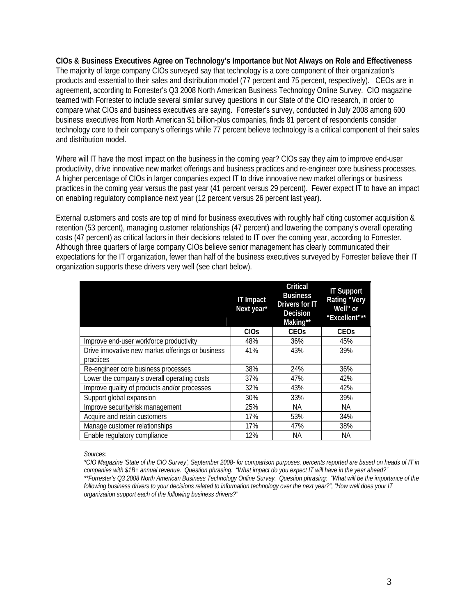**CIOs & Business Executives Agree on Technology's Importance but Not Always on Role and Effectiveness**  The majority of large company CIOs surveyed say that technology is a core component of their organization's products and essential to their sales and distribution model (77 percent and 75 percent, respectively). CEOs are in agreement, according to Forrester's Q3 2008 North American Business Technology Online Survey. CIO magazine teamed with Forrester to include several similar survey questions in our State of the CIO research, in order to compare what CIOs and business executives are saying. Forrester's survey, conducted in July 2008 among 600 business executives from North American \$1 billion-plus companies, finds 81 percent of respondents consider technology core to their company's offerings while 77 percent believe technology is a critical component of their sales and distribution model.

Where will IT have the most impact on the business in the coming year? CIOs say they aim to improve end-user productivity, drive innovative new market offerings and business practices and re-engineer core business processes. A higher percentage of CIOs in larger companies expect IT to drive innovative new market offerings or business practices in the coming year versus the past year (41 percent versus 29 percent). Fewer expect IT to have an impact on enabling regulatory compliance next year (12 percent versus 26 percent last year).

External customers and costs are top of mind for business executives with roughly half citing customer acquisition & retention (53 percent), managing customer relationships (47 percent) and lowering the company's overall operating costs (47 percent) as critical factors in their decisions related to IT over the coming year, according to Forrester. Although three quarters of large company CIOs believe senior management has clearly communicated their expectations for the IT organization, fewer than half of the business executives surveyed by Forrester believe their IT organization supports these drivers very well (see chart below).

|                                                   | <b>IT Impact</b><br>Next year* | <b>Critical</b><br><b>Business</b><br>Drivers for IT<br>Decision<br>Making** | <b>IT Support</b><br><b>Rating "Very</b><br>Well" or<br>"Excellent"** |
|---------------------------------------------------|--------------------------------|------------------------------------------------------------------------------|-----------------------------------------------------------------------|
|                                                   | <b>CIO<sub>S</sub></b>         | <b>CEO<sub>s</sub></b>                                                       | <b>CEO<sub>s</sub></b>                                                |
| Improve end-user workforce productivity           | 48%                            | 36%                                                                          | 45%                                                                   |
| Drive innovative new market offerings or business | 41%                            | 43%                                                                          | 39%                                                                   |
| practices                                         |                                |                                                                              |                                                                       |
| Re-engineer core business processes               | 38%                            | 24%                                                                          | 36%                                                                   |
| Lower the company's overall operating costs       | 37%                            | 47%                                                                          | 42%                                                                   |
| Improve quality of products and/or processes      | 32%                            | 43%                                                                          | 42%                                                                   |
| Support global expansion                          | 30%                            | 33%                                                                          | 39%                                                                   |
| Improve security/risk management                  | 25%                            | <b>NA</b>                                                                    | NА                                                                    |
| Acquire and retain customers                      | 17%                            | 53%                                                                          | 34%                                                                   |
| Manage customer relationships                     | 17%                            | 47%                                                                          | 38%                                                                   |
| Enable regulatory compliance                      | 12%                            | NА                                                                           | NА                                                                    |

*Sources:* 

*\*CIO Magazine 'State of the CIO Survey', September 2008- for comparison purposes, percents reported are based on heads of IT in companies with \$1B+ annual revenue. Question phrasing: "What impact do you expect IT will have in the year ahead?" \*\*Forrester's Q3 2008 North American Business Technology Online Survey. Question phrasing: "What will be the importance of the following business drivers to your decisions related to information technology over the next year?", "How well does your IT organization support each of the following business drivers?"*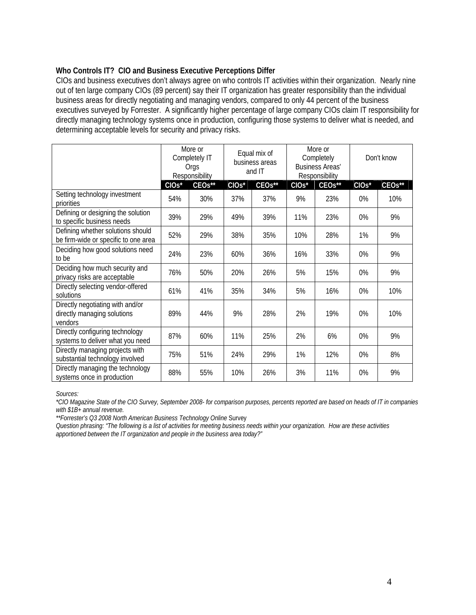#### **Who Controls IT? CIO and Business Executive Perceptions Differ**

CIOs and business executives don't always agree on who controls IT activities within their organization. Nearly nine out of ten large company CIOs (89 percent) say their IT organization has greater responsibility than the individual business areas for directly negotiating and managing vendors, compared to only 44 percent of the business executives surveyed by Forrester. A significantly higher percentage of large company CIOs claim IT responsibility for directly managing technology systems once in production, configuring those systems to deliver what is needed, and determining acceptable levels for security and privacy risks.

|                                                                            | More or<br>Completely IT<br>Orgs<br>Responsibility |                     | Equal mix of<br>business areas<br>and IT |                     | More or<br>Completely<br><b>Business Areas'</b><br>Responsibility |                     | Don't know                    |                     |
|----------------------------------------------------------------------------|----------------------------------------------------|---------------------|------------------------------------------|---------------------|-------------------------------------------------------------------|---------------------|-------------------------------|---------------------|
|                                                                            | CIO <sub>s</sub> <sup>*</sup>                      | CEO <sub>s</sub> ** | CIO <sub>s</sub> <sup>*</sup>            | CEO <sub>s</sub> ** | CIO <sub>s</sub> <sup>*</sup>                                     | CEO <sub>s</sub> ** | CIO <sub>s</sub> <sup>*</sup> | CEO <sub>s</sub> ** |
| Setting technology investment<br>priorities                                | 54%                                                | 30%                 | 37%                                      | 37%                 | 9%                                                                | 23%                 | 0%                            | 10%                 |
| Defining or designing the solution<br>to specific business needs           | 39%                                                | 29%                 | 49%                                      | 39%                 | 11%                                                               | 23%                 | 0%                            | 9%                  |
| Defining whether solutions should<br>be firm-wide or specific to one area  | 52%                                                | 29%                 | 38%                                      | 35%                 | 10%                                                               | 28%                 | 1%                            | 9%                  |
| Deciding how good solutions need<br>to be                                  | 24%                                                | 23%                 | 60%                                      | 36%                 | 16%                                                               | 33%                 | 0%                            | 9%                  |
| Deciding how much security and<br>privacy risks are acceptable             | 76%                                                | 50%                 | 20%                                      | 26%                 | 5%                                                                | 15%                 | 0%                            | 9%                  |
| Directly selecting vendor-offered<br>solutions                             | 61%                                                | 41%                 | 35%                                      | 34%                 | 5%                                                                | 16%                 | 0%                            | 10%                 |
| Directly negotiating with and/or<br>directly managing solutions<br>vendors | 89%                                                | 44%                 | 9%                                       | 28%                 | 2%                                                                | 19%                 | 0%                            | 10%                 |
| Directly configuring technology<br>systems to deliver what you need        | 87%                                                | 60%                 | 11%                                      | 25%                 | 2%                                                                | 6%                  | 0%                            | 9%                  |
| Directly managing projects with<br>substantial technology involved         | 75%                                                | 51%                 | 24%                                      | 29%                 | 1%                                                                | 12%                 | 0%                            | 8%                  |
| Directly managing the technology<br>systems once in production             | 88%                                                | 55%                 | 10%                                      | 26%                 | 3%                                                                | 11%                 | 0%                            | 9%                  |

*Sources:* 

*\*CIO Magazine State of the CIO Survey, September 2008- for comparison purposes, percents reported are based on heads of IT in companies with \$1B+ annual revenue.* 

*\*\*Forrester's Q3 2008 North American Business Technology Online* Survey

*Question phrasing: "The following is a list of activities for meeting business needs within your organization. How are these activities apportioned between the IT organization and people in the business area today?"*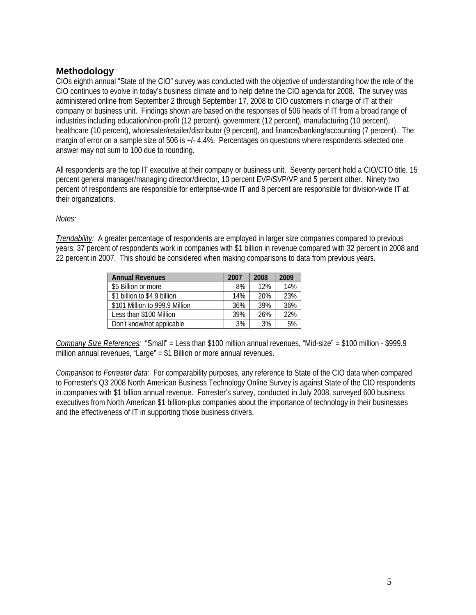### **Methodology**

CIOs eighth annual "State of the CIO" survey was conducted with the objective of understanding how the role of the CIO continues to evolve in today's business climate and to help define the CIO agenda for 2008. The survey was administered online from September 2 through September 17, 2008 to CIO customers in charge of IT at their company or business unit. Findings shown are based on the responses of 506 heads of IT from a broad range of industries including education/non-profit (12 percent), government (12 percent), manufacturing (10 percent), healthcare (10 percent), wholesaler/retailer/distributor (9 percent), and finance/banking/accounting (7 percent). The margin of error on a sample size of 506 is +/- 4.4%. Percentages on questions where respondents selected one answer may not sum to 100 due to rounding.

All respondents are the top IT executive at their company or business unit. Seventy percent hold a CIO/CTO title, 15 percent general manager/managing director/director, 10 percent EVP/SVP/VP and 5 percent other. Ninety two percent of respondents are responsible for enterprise-wide IT and 8 percent are responsible for division-wide IT at their organizations.

*Notes:* 

*Trendability:* A greater percentage of respondents are employed in larger size companies compared to previous years; 37 percent of respondents work in companies with \$1 billion in revenue compared with 32 percent in 2008 and 22 percent in 2007. This should be considered when making comparisons to data from previous years.

| <b>Annual Revenues</b>         | 2007 | 2008 | 2009 |
|--------------------------------|------|------|------|
| \$5 Billion or more            | 8%   | 12%  | 14%  |
| \$1 billion to \$4.9 billion   | 14%  | 20%  | 23%  |
| \$101 Million to 999.9 Million | 36%  | 39%  | 36%  |
| Less than \$100 Million        | 39%  | 26%  | 22%  |
| Don't know/not applicable      | 3%   | 3%   | 5%   |

*Company Size References:* "Small" = Less than \$100 million annual revenues, "Mid-size" = \$100 million - \$999.9 million annual revenues, "Large" = \$1 Billion or more annual revenues.

*Comparison to Forrester data:* For comparability purposes, any reference to State of the CIO data when compared to Forrester's Q3 2008 North American Business Technology Online Survey is against State of the CIO respondents in companies with \$1 billion annual revenue. Forrester's survey, conducted in July 2008, surveyed 600 business executives from North American \$1 billion-plus companies about the importance of technology in their businesses and the effectiveness of IT in supporting those business drivers.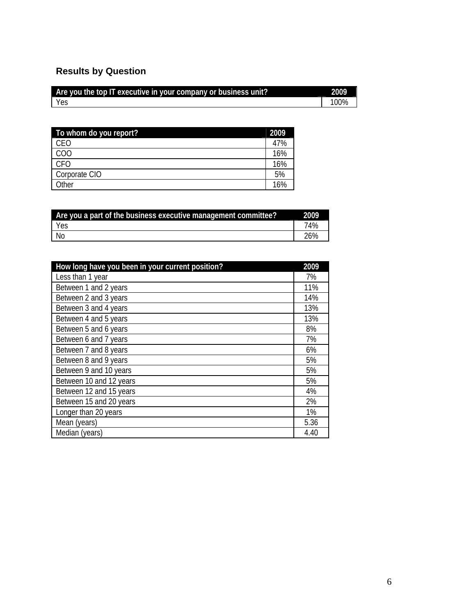# **Results by Question**

| Are you the top IT executive in your company or business unit? | 2009 |
|----------------------------------------------------------------|------|
| Yes                                                            | 00%  |

| To whom do you report? | 2009 |
|------------------------|------|
| CEO                    | 47%  |
| COO                    | 16%  |
| CFO                    | 16%  |
| Corporate CIO          | 5%   |
| Other                  | 16%  |

| Are you a part of the business executive management committee? |     |  |
|----------------------------------------------------------------|-----|--|
| Yes                                                            | 74% |  |
| - No                                                           | 26% |  |

| How long have you been in your current position? | 2009 |
|--------------------------------------------------|------|
| Less than 1 year                                 | 7%   |
| Between 1 and 2 years                            | 11%  |
| Between 2 and 3 years                            | 14%  |
| Between 3 and 4 years                            | 13%  |
| Between 4 and 5 years                            | 13%  |
| Between 5 and 6 years                            | 8%   |
| Between 6 and 7 years                            | 7%   |
| Between 7 and 8 years                            | 6%   |
| Between 8 and 9 years                            | 5%   |
| Between 9 and 10 years                           | 5%   |
| Between 10 and 12 years                          | 5%   |
| Between 12 and 15 years                          | 4%   |
| Between 15 and 20 years                          | 2%   |
| Longer than 20 years                             | 1%   |
| Mean (years)                                     | 5.36 |
| Median (years)                                   | 4.40 |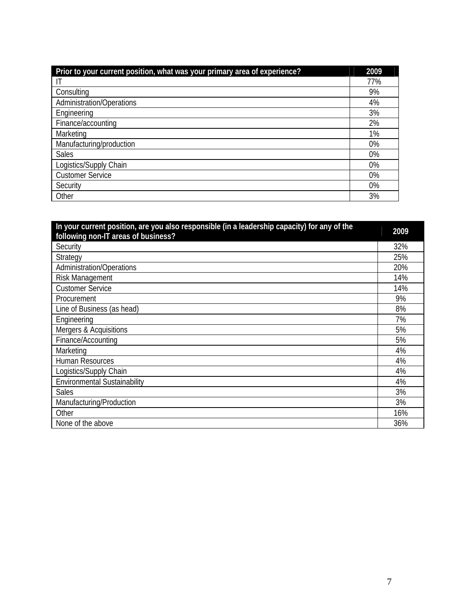| Prior to your current position, what was your primary area of experience? | 2009 |
|---------------------------------------------------------------------------|------|
| IT                                                                        | 77%  |
| Consulting                                                                | 9%   |
| <b>Administration/Operations</b>                                          | 4%   |
| Engineering                                                               | 3%   |
| Finance/accounting                                                        | 2%   |
| Marketing                                                                 | 1%   |
| Manufacturing/production                                                  | 0%   |
| Sales                                                                     | 0%   |
| Logistics/Supply Chain                                                    | 0%   |
| <b>Customer Service</b>                                                   | 0%   |
| Security                                                                  | 0%   |
| Other                                                                     | 3%   |

| In your current position, are you also responsible (in a leadership capacity) for any of the | 2009 |
|----------------------------------------------------------------------------------------------|------|
| following non-IT areas of business?                                                          |      |
| Security                                                                                     | 32%  |
| Strategy                                                                                     | 25%  |
| <b>Administration/Operations</b>                                                             | 20%  |
| <b>Risk Management</b>                                                                       | 14%  |
| <b>Customer Service</b>                                                                      | 14%  |
| Procurement                                                                                  | 9%   |
| Line of Business (as head)                                                                   | 8%   |
| Engineering                                                                                  | 7%   |
| Mergers & Acquisitions                                                                       | 5%   |
| Finance/Accounting                                                                           | 5%   |
| Marketing                                                                                    | 4%   |
| <b>Human Resources</b>                                                                       | 4%   |
| Logistics/Supply Chain                                                                       | 4%   |
| <b>Environmental Sustainability</b>                                                          | 4%   |
| <b>Sales</b>                                                                                 | 3%   |
| Manufacturing/Production                                                                     | 3%   |
| Other                                                                                        | 16%  |
| None of the above                                                                            | 36%  |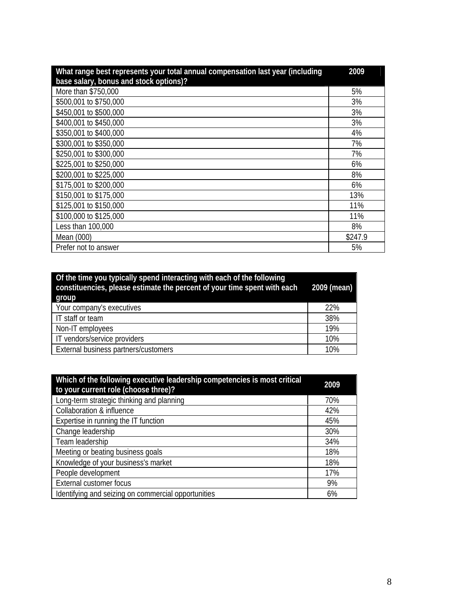| What range best represents your total annual compensation last year (including | 2009    |
|--------------------------------------------------------------------------------|---------|
| base salary, bonus and stock options)?                                         |         |
| More than \$750,000                                                            | 5%      |
| \$500,001 to \$750,000                                                         | 3%      |
| \$450,001 to \$500,000                                                         | 3%      |
| \$400,001 to \$450,000                                                         | 3%      |
| \$350,001 to \$400,000                                                         | 4%      |
| \$300,001 to \$350,000                                                         | 7%      |
| \$250,001 to \$300,000                                                         | 7%      |
| \$225,001 to \$250,000                                                         | 6%      |
| \$200,001 to \$225,000                                                         | 8%      |
| \$175,001 to \$200,000                                                         | 6%      |
| \$150,001 to \$175,000                                                         | 13%     |
| \$125,001 to \$150,000                                                         | 11%     |
| \$100,000 to \$125,000                                                         | 11%     |
| Less than 100,000                                                              | 8%      |
| Mean (000)                                                                     | \$247.9 |
| Prefer not to answer                                                           | 5%      |

| Of the time you typically spend interacting with each of the following<br>constituencies, please estimate the percent of your time spent with each<br>group | 2009 (mean) |
|-------------------------------------------------------------------------------------------------------------------------------------------------------------|-------------|
| Your company's executives                                                                                                                                   | 22%         |
| IT staff or team                                                                                                                                            | 38%         |
| Non-IT employees                                                                                                                                            | 19%         |
| IT vendors/service providers                                                                                                                                | 10%         |
| External business partners/customers                                                                                                                        | 10%         |

| Which of the following executive leadership competencies is most critical<br>to your current role (choose three)? | 2009 |
|-------------------------------------------------------------------------------------------------------------------|------|
| Long-term strategic thinking and planning                                                                         | 70%  |
| Collaboration & influence                                                                                         | 42%  |
| Expertise in running the IT function                                                                              | 45%  |
| Change leadership                                                                                                 | 30%  |
| Team leadership                                                                                                   | 34%  |
| Meeting or beating business goals                                                                                 | 18%  |
| Knowledge of your business's market                                                                               | 18%  |
| People development                                                                                                | 17%  |
| External customer focus                                                                                           | 9%   |
| Identifying and seizing on commercial opportunities                                                               | 6%   |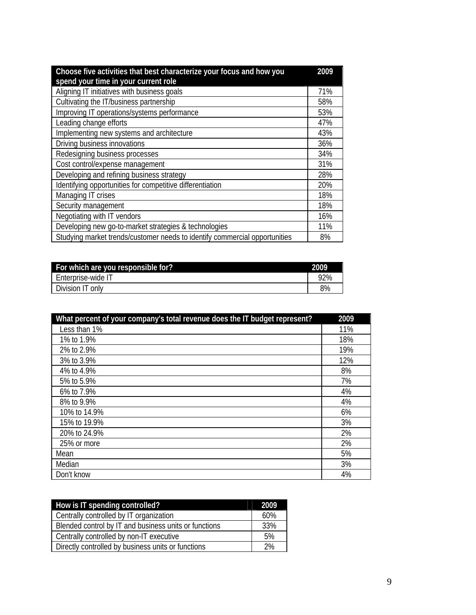| Choose five activities that best characterize your focus and how you       |     |  |
|----------------------------------------------------------------------------|-----|--|
| spend your time in your current role                                       |     |  |
| Aligning IT initiatives with business goals                                | 71% |  |
| Cultivating the IT/business partnership                                    | 58% |  |
| Improving IT operations/systems performance                                | 53% |  |
| Leading change efforts                                                     | 47% |  |
| Implementing new systems and architecture                                  | 43% |  |
| Driving business innovations                                               | 36% |  |
| Redesigning business processes                                             | 34% |  |
| Cost control/expense management                                            | 31% |  |
| Developing and refining business strategy                                  | 28% |  |
| Identifying opportunities for competitive differentiation                  | 20% |  |
| Managing IT crises                                                         | 18% |  |
| Security management                                                        | 18% |  |
| Negotiating with IT vendors                                                | 16% |  |
| Developing new go-to-market strategies & technologies                      | 11% |  |
| Studying market trends/customer needs to identify commercial opportunities | 8%  |  |

| For which are you responsible for? | 2009. |
|------------------------------------|-------|
| Enterprise-wide IT                 | 92%   |
| Division IT only                   | 8%    |

| What percent of your company's total revenue does the IT budget represent? | 2009 |
|----------------------------------------------------------------------------|------|
| Less than 1%                                                               | 11%  |
| 1% to 1.9%                                                                 | 18%  |
| 2% to 2.9%                                                                 | 19%  |
| 3% to 3.9%                                                                 | 12%  |
| 4% to 4.9%                                                                 | 8%   |
| 5% to 5.9%                                                                 | 7%   |
| 6% to 7.9%                                                                 | 4%   |
| 8% to 9.9%                                                                 | 4%   |
| 10% to 14.9%                                                               | 6%   |
| 15% to 19.9%                                                               | 3%   |
| 20% to 24.9%                                                               | 2%   |
| 25% or more                                                                | 2%   |
| Mean                                                                       | 5%   |
| Median                                                                     | 3%   |
| Don't know                                                                 | 4%   |

| How is IT spending controlled?                        | 2009 |  |  |  |
|-------------------------------------------------------|------|--|--|--|
| Centrally controlled by IT organization               | 60%  |  |  |  |
| Blended control by IT and business units or functions |      |  |  |  |
| Centrally controlled by non-IT executive              | 5%   |  |  |  |
| Directly controlled by business units or functions    | 2%   |  |  |  |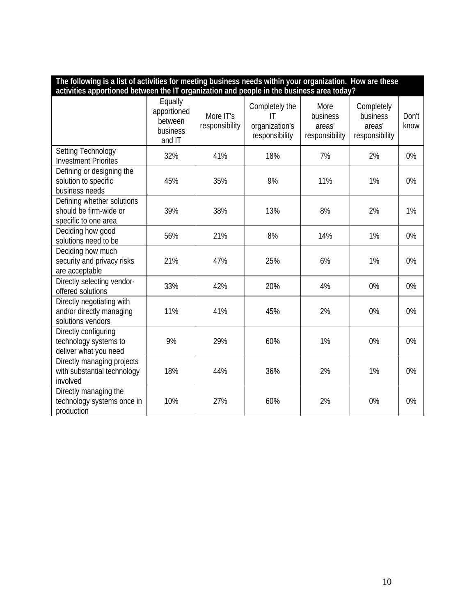| The following is a list of activities for meeting business needs within your organization. How are these |                                                         |                             |                                                          |                                              |                                                    |               |
|----------------------------------------------------------------------------------------------------------|---------------------------------------------------------|-----------------------------|----------------------------------------------------------|----------------------------------------------|----------------------------------------------------|---------------|
| activities apportioned between the IT organization and people in the business area today?                |                                                         |                             |                                                          |                                              |                                                    |               |
|                                                                                                          | Equally<br>apportioned<br>between<br>business<br>and IT | More IT's<br>responsibility | Completely the<br>IT<br>organization's<br>responsibility | More<br>business<br>areas'<br>responsibility | Completely<br>business<br>areas'<br>responsibility | Don't<br>know |
| Setting Technology<br><b>Investment Priorites</b>                                                        | 32%                                                     | 41%                         | 18%                                                      | 7%                                           | 2%                                                 | 0%            |
| Defining or designing the<br>solution to specific<br>business needs                                      | 45%                                                     | 35%                         | 9%                                                       | 11%                                          | 1%                                                 | 0%            |
| Defining whether solutions<br>should be firm-wide or<br>specific to one area                             | 39%                                                     | 38%                         | 13%                                                      | 8%                                           | 2%                                                 | 1%            |
| Deciding how good<br>solutions need to be                                                                | 56%                                                     | 21%                         | 8%                                                       | 14%                                          | 1%                                                 | 0%            |
| Deciding how much<br>security and privacy risks<br>are acceptable                                        | 21%                                                     | 47%                         | 25%                                                      | 6%                                           | 1%                                                 | 0%            |
| Directly selecting vendor-<br>offered solutions                                                          | 33%                                                     | 42%                         | 20%                                                      | 4%                                           | 0%                                                 | 0%            |
| Directly negotiating with<br>and/or directly managing<br>solutions vendors                               | 11%                                                     | 41%                         | 45%                                                      | 2%                                           | 0%                                                 | 0%            |
| Directly configuring<br>technology systems to<br>deliver what you need                                   | 9%                                                      | 29%                         | 60%                                                      | 1%                                           | 0%                                                 | 0%            |
| Directly managing projects<br>with substantial technology<br>involved                                    | 18%                                                     | 44%                         | 36%                                                      | 2%                                           | 1%                                                 | 0%            |
| Directly managing the<br>technology systems once in<br>production                                        | 10%                                                     | 27%                         | 60%                                                      | 2%                                           | 0%                                                 | 0%            |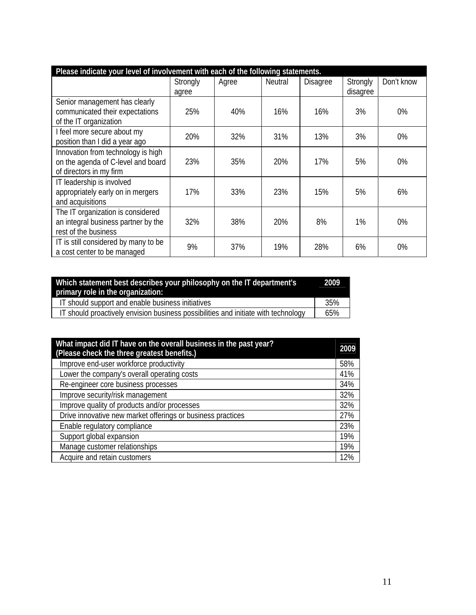| Please indicate your level of involvement with each of the following statements.                    |                   |       |                |                 |                      |            |  |
|-----------------------------------------------------------------------------------------------------|-------------------|-------|----------------|-----------------|----------------------|------------|--|
|                                                                                                     | Strongly<br>agree | Agree | <b>Neutral</b> | <b>Disagree</b> | Strongly<br>disagree | Don't know |  |
| Senior management has clearly<br>communicated their expectations<br>of the IT organization          | 25%               | 40%   | 16%            | 16%             | 3%                   | 0%         |  |
| I feel more secure about my<br>position than I did a year ago                                       | 20%               | 32%   | 31%            | 13%             | 3%                   | 0%         |  |
| Innovation from technology is high<br>on the agenda of C-level and board<br>of directors in my firm | 23%               | 35%   | 20%            | 17%             | 5%                   | 0%         |  |
| IT leadership is involved<br>appropriately early on in mergers<br>and acquisitions                  | 17%               | 33%   | 23%            | 15%             | 5%                   | 6%         |  |
| The IT organization is considered<br>an integral business partner by the<br>rest of the business    | 32%               | 38%   | 20%            | 8%              | 1%                   | 0%         |  |
| IT is still considered by many to be<br>a cost center to be managed                                 | 9%                | 37%   | 19%            | 28%             | 6%                   | 0%         |  |

| Which statement best describes your philosophy on the IT department's              | 2009 |
|------------------------------------------------------------------------------------|------|
| primary role in the organization:                                                  |      |
| IT should support and enable business initiatives                                  | 35%  |
| IT should proactively envision business possibilities and initiate with technology | 65%  |

| What impact did IT have on the overall business in the past year?<br>(Please check the three greatest benefits.) | 2009 |
|------------------------------------------------------------------------------------------------------------------|------|
| Improve end-user workforce productivity                                                                          | 58%  |
| Lower the company's overall operating costs                                                                      | 41%  |
| Re-engineer core business processes                                                                              | 34%  |
| Improve security/risk management                                                                                 | 32%  |
| Improve quality of products and/or processes                                                                     | 32%  |
| Drive innovative new market offerings or business practices                                                      | 27%  |
| Enable regulatory compliance                                                                                     | 23%  |
| Support global expansion                                                                                         | 19%  |
| Manage customer relationships                                                                                    | 19%  |
| Acquire and retain customers                                                                                     | 12%  |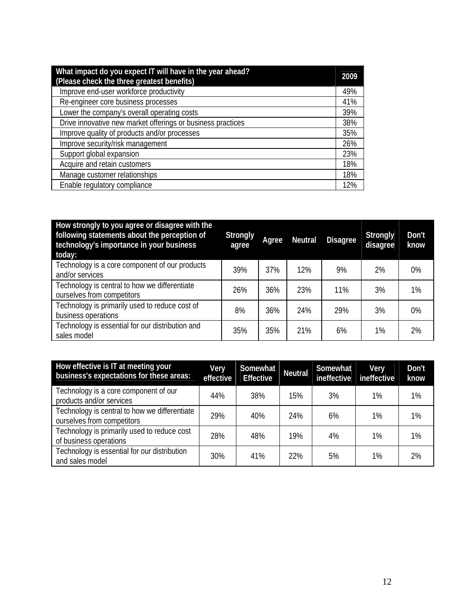| What impact do you expect IT will have in the year ahead?<br>(Please check the three greatest benefits) | 2009 |
|---------------------------------------------------------------------------------------------------------|------|
| Improve end-user workforce productivity                                                                 | 49%  |
| Re-engineer core business processes                                                                     | 41%  |
| Lower the company's overall operating costs                                                             | 39%  |
| Drive innovative new market offerings or business practices                                             | 38%  |
| Improve quality of products and/or processes                                                            | 35%  |
| Improve security/risk management                                                                        | 26%  |
| Support global expansion                                                                                | 23%  |
| Acquire and retain customers                                                                            | 18%  |
| Manage customer relationships                                                                           | 18%  |
| Enable regulatory compliance                                                                            | 12%  |

| How strongly to you agree or disagree with the<br>following statements about the perception of<br>technology's importance in your business<br>today: | <b>Strongly</b><br>agree | Agree | <b>Neutral</b> | <b>Disagree</b> | <b>Strongly</b><br>disagree | Don't<br>know |
|------------------------------------------------------------------------------------------------------------------------------------------------------|--------------------------|-------|----------------|-----------------|-----------------------------|---------------|
| Technology is a core component of our products<br>and/or services                                                                                    | 39%                      | 37%   | 12%            | 9%              | 2%                          | 0%            |
| Technology is central to how we differentiate<br>ourselves from competitors                                                                          | 26%                      | 36%   | 23%            | 11%             | 3%                          | $1\%$         |
| Technology is primarily used to reduce cost of<br>business operations                                                                                | 8%                       | 36%   | 24%            | 29%             | 3%                          | $0\%$         |
| Technology is essential for our distribution and<br>sales model                                                                                      | 35%                      | 35%   | 21%            | 6%              | 1%                          | 2%            |

| How effective is IT at meeting your<br>business's expectations for these areas: | Very<br>effective | Somewhat<br><b>Effective</b> | Neutral | Somewhat<br>ineffective | Very<br>ineffective | Don't<br>know |
|---------------------------------------------------------------------------------|-------------------|------------------------------|---------|-------------------------|---------------------|---------------|
| Technology is a core component of our<br>products and/or services               | 44%               | 38%                          | 15%     | 3%                      | 1%                  | $1\%$         |
| Technology is central to how we differentiate<br>ourselves from competitors     | 29%               | 40%                          | 24%     | 6%                      | 1%                  | 1%            |
| Technology is primarily used to reduce cost<br>of business operations           | 28%               | 48%                          | 19%     | 4%                      | 1%                  | 1%            |
| Technology is essential for our distribution<br>and sales model                 | 30%               | 41%                          | 22%     | 5%                      | 1%                  | 2%            |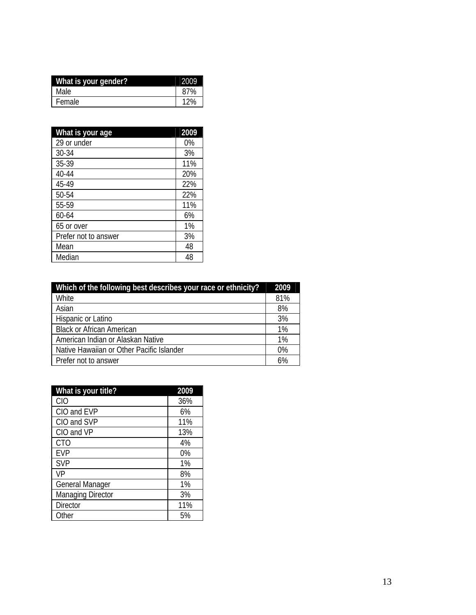| What is your gender? | 2009 |
|----------------------|------|
| Male                 | 87%  |
| Female               | 12%  |

| What is your age     | 2009  |
|----------------------|-------|
| 29 or under          | $0\%$ |
| $30 - 34$            | 3%    |
| 35-39                | 11%   |
| 40-44                | 20%   |
| 45-49                | 22%   |
| 50-54                | 22%   |
| 55-59                | 11%   |
| 60-64                | 6%    |
| 65 or over           | 1%    |
| Prefer not to answer | 3%    |
| Mean                 | 48    |
| Median               | 48    |

| Which of the following best describes your race or ethnicity? |     |
|---------------------------------------------------------------|-----|
| White                                                         | 81% |
| Asian                                                         | 8%  |
| Hispanic or Latino                                            | 3%  |
| <b>Black or African American</b>                              | 1%  |
| American Indian or Alaskan Native                             | 1%  |
| Native Hawaiian or Other Pacific Islander                     | 0%  |
| Prefer not to answer                                          | 6%  |

| What is your title?    | 2009  |
|------------------------|-------|
| <b>CIO</b>             | 36%   |
| CIO and EVP            | 6%    |
| CIO and SVP            | 11%   |
| CIO and VP             | 13%   |
| CT <sub>O</sub>        | 4%    |
| <b>EVP</b>             | $0\%$ |
| <b>SVP</b>             | 1%    |
| VP                     | 8%    |
| <b>General Manager</b> | 1%    |
| Managing Director      | 3%    |
| <b>Director</b>        | 11%   |
| Other                  | 5%    |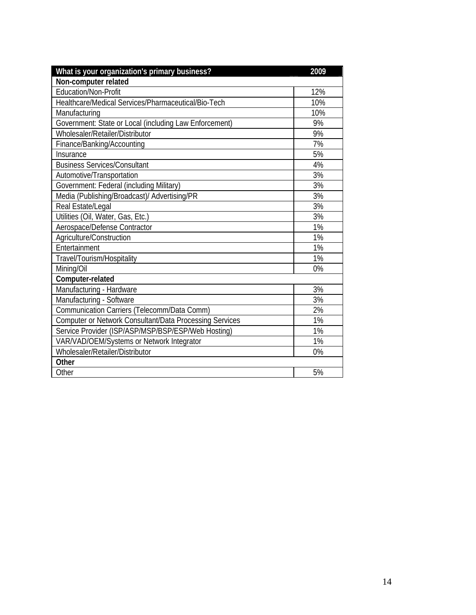| What is your organization's primary business?                  | 2009 |
|----------------------------------------------------------------|------|
| Non-computer related                                           |      |
| Education/Non-Profit                                           | 12%  |
| Healthcare/Medical Services/Pharmaceutical/Bio-Tech            | 10%  |
| Manufacturing                                                  | 10%  |
| Government: State or Local (including Law Enforcement)         | 9%   |
| Wholesaler/Retailer/Distributor                                | 9%   |
| Finance/Banking/Accounting                                     | 7%   |
| Insurance                                                      | 5%   |
| <b>Business Services/Consultant</b>                            | 4%   |
| Automotive/Transportation                                      | 3%   |
| Government: Federal (including Military)                       | 3%   |
| Media (Publishing/Broadcast)/ Advertising/PR                   | 3%   |
| Real Estate/Legal                                              | 3%   |
| Utilities (Oil, Water, Gas, Etc.)                              | 3%   |
| Aerospace/Defense Contractor                                   | 1%   |
| Agriculture/Construction                                       | 1%   |
| Entertainment                                                  | 1%   |
| Travel/Tourism/Hospitality                                     | 1%   |
| Mining/Oil                                                     | 0%   |
| Computer-related                                               |      |
| Manufacturing - Hardware                                       | 3%   |
| Manufacturing - Software                                       | 3%   |
| Communication Carriers (Telecomm/Data Comm)                    | 2%   |
| <b>Computer or Network Consultant/Data Processing Services</b> | 1%   |
| Service Provider (ISP/ASP/MSP/BSP/ESP/Web Hosting)             | 1%   |
| VAR/VAD/OEM/Systems or Network Integrator                      | 1%   |
| Wholesaler/Retailer/Distributor                                | 0%   |
| Other                                                          |      |
| Other                                                          | 5%   |